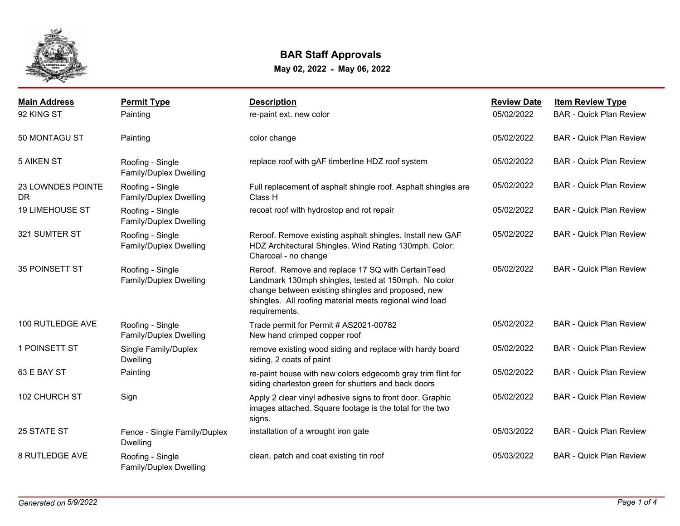

## **BAR Staff Approvals**

**May 02, 2022 - May 06, 2022**

| <b>Main Address</b>      | <b>Permit Type</b>                         | <b>Description</b>                                                                                                                                                                                                                          | <b>Review Date</b> | <b>Item Review Type</b>        |
|--------------------------|--------------------------------------------|---------------------------------------------------------------------------------------------------------------------------------------------------------------------------------------------------------------------------------------------|--------------------|--------------------------------|
| 92 KING ST               | Painting                                   | re-paint ext. new color                                                                                                                                                                                                                     | 05/02/2022         | <b>BAR - Quick Plan Review</b> |
| 50 MONTAGU ST            | Painting                                   | color change                                                                                                                                                                                                                                | 05/02/2022         | <b>BAR - Quick Plan Review</b> |
| <b>5 AIKEN ST</b>        | Roofing - Single<br>Family/Duplex Dwelling | replace roof with gAF timberline HDZ roof system                                                                                                                                                                                            | 05/02/2022         | <b>BAR</b> - Quick Plan Review |
| 23 LOWNDES POINTE<br>DR. | Roofing - Single<br>Family/Duplex Dwelling | Full replacement of asphalt shingle roof. Asphalt shingles are<br>Class H                                                                                                                                                                   | 05/02/2022         | <b>BAR - Quick Plan Review</b> |
| <b>19 LIMEHOUSE ST</b>   | Roofing - Single<br>Family/Duplex Dwelling | recoat roof with hydrostop and rot repair                                                                                                                                                                                                   | 05/02/2022         | <b>BAR - Quick Plan Review</b> |
| 321 SUMTER ST            | Roofing - Single<br>Family/Duplex Dwelling | Reroof. Remove existing asphalt shingles. Install new GAF<br>HDZ Architectural Shingles. Wind Rating 130mph. Color:<br>Charcoal - no change                                                                                                 | 05/02/2022         | <b>BAR - Quick Plan Review</b> |
| 35 POINSETT ST           | Roofing - Single<br>Family/Duplex Dwelling | Reroof. Remove and replace 17 SQ with CertainTeed<br>Landmark 130mph shingles, tested at 150mph. No color<br>change between existing shingles and proposed, new<br>shingles. All roofing material meets regional wind load<br>requirements. | 05/02/2022         | <b>BAR - Quick Plan Review</b> |
| 100 RUTLEDGE AVE         | Roofing - Single<br>Family/Duplex Dwelling | Trade permit for Permit # AS2021-00782<br>New hand crimped copper roof                                                                                                                                                                      | 05/02/2022         | <b>BAR - Quick Plan Review</b> |
| 1 POINSETT ST            | Single Family/Duplex<br><b>Dwelling</b>    | remove existing wood siding and replace with hardy board<br>siding, 2 coats of paint                                                                                                                                                        | 05/02/2022         | <b>BAR - Quick Plan Review</b> |
| 63 E BAY ST              | Painting                                   | re-paint house with new colors edgecomb gray trim flint for<br>siding charleston green for shutters and back doors                                                                                                                          | 05/02/2022         | <b>BAR - Quick Plan Review</b> |
| 102 CHURCH ST            | Sign                                       | Apply 2 clear vinyl adhesive signs to front door. Graphic<br>images attached. Square footage is the total for the two<br>signs.                                                                                                             | 05/02/2022         | <b>BAR - Quick Plan Review</b> |
| 25 STATE ST              | Fence - Single Family/Duplex<br>Dwelling   | installation of a wrought iron gate                                                                                                                                                                                                         | 05/03/2022         | <b>BAR - Quick Plan Review</b> |
| <b>8 RUTLEDGE AVE</b>    | Roofing - Single<br>Family/Duplex Dwelling | clean, patch and coat existing tin roof                                                                                                                                                                                                     | 05/03/2022         | <b>BAR - Quick Plan Review</b> |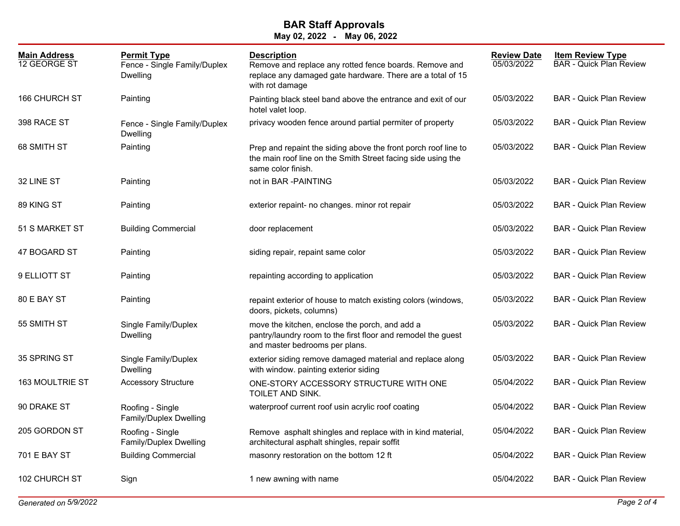## **May 02, 2022 - May 06, 2022 BAR Staff Approvals**

| <b>Main Address</b><br>12 GEORGE ST | <b>Permit Type</b><br>Fence - Single Family/Duplex<br>Dwelling | <b>Description</b><br>Remove and replace any rotted fence boards. Remove and<br>replace any damaged gate hardware. There are a total of 15<br>with rot damage | <b>Review Date</b><br>05/03/2022 | <b>Item Review Type</b><br><b>BAR</b> - Quick Plan Review |
|-------------------------------------|----------------------------------------------------------------|---------------------------------------------------------------------------------------------------------------------------------------------------------------|----------------------------------|-----------------------------------------------------------|
| <b>166 CHURCH ST</b>                | Painting                                                       | Painting black steel band above the entrance and exit of our<br>hotel valet loop.                                                                             | 05/03/2022                       | <b>BAR - Quick Plan Review</b>                            |
| 398 RACE ST                         | Fence - Single Family/Duplex<br><b>Dwelling</b>                | privacy wooden fence around partial permiter of property                                                                                                      | 05/03/2022                       | <b>BAR - Quick Plan Review</b>                            |
| 68 SMITH ST                         | Painting                                                       | Prep and repaint the siding above the front porch roof line to<br>the main roof line on the Smith Street facing side using the<br>same color finish.          | 05/03/2022                       | <b>BAR - Quick Plan Review</b>                            |
| 32 LINE ST                          | Painting                                                       | not in BAR -PAINTING                                                                                                                                          | 05/03/2022                       | <b>BAR - Quick Plan Review</b>                            |
| 89 KING ST                          | Painting                                                       | exterior repaint- no changes. minor rot repair                                                                                                                | 05/03/2022                       | <b>BAR</b> - Quick Plan Review                            |
| 51 S MARKET ST                      | <b>Building Commercial</b>                                     | door replacement                                                                                                                                              | 05/03/2022                       | <b>BAR - Quick Plan Review</b>                            |
| 47 BOGARD ST                        | Painting                                                       | siding repair, repaint same color                                                                                                                             | 05/03/2022                       | <b>BAR - Quick Plan Review</b>                            |
| 9 ELLIOTT ST                        | Painting                                                       | repainting according to application                                                                                                                           | 05/03/2022                       | <b>BAR</b> - Quick Plan Review                            |
| 80 E BAY ST                         | Painting                                                       | repaint exterior of house to match existing colors (windows,<br>doors, pickets, columns)                                                                      | 05/03/2022                       | <b>BAR - Quick Plan Review</b>                            |
| 55 SMITH ST                         | Single Family/Duplex<br><b>Dwelling</b>                        | move the kitchen, enclose the porch, and add a<br>pantry/laundry room to the first floor and remodel the guest<br>and master bedrooms per plans.              | 05/03/2022                       | <b>BAR - Quick Plan Review</b>                            |
| 35 SPRING ST                        | Single Family/Duplex<br><b>Dwelling</b>                        | exterior siding remove damaged material and replace along<br>with window. painting exterior siding                                                            | 05/03/2022                       | <b>BAR - Quick Plan Review</b>                            |
| 163 MOULTRIE ST                     | <b>Accessory Structure</b>                                     | ONE-STORY ACCESSORY STRUCTURE WITH ONE<br>TOILET AND SINK.                                                                                                    | 05/04/2022                       | <b>BAR - Quick Plan Review</b>                            |
| 90 DRAKE ST                         | Roofing - Single<br>Family/Duplex Dwelling                     | waterproof current roof usin acrylic roof coating                                                                                                             | 05/04/2022                       | <b>BAR - Quick Plan Review</b>                            |
| 205 GORDON ST                       | Roofing - Single<br>Family/Duplex Dwelling                     | Remove asphalt shingles and replace with in kind material,<br>architectural asphalt shingles, repair soffit                                                   | 05/04/2022                       | <b>BAR - Quick Plan Review</b>                            |
| 701 E BAY ST                        | <b>Building Commercial</b>                                     | masonry restoration on the bottom 12 ft                                                                                                                       | 05/04/2022                       | <b>BAR - Quick Plan Review</b>                            |
| 102 CHURCH ST                       | Sign                                                           | 1 new awning with name                                                                                                                                        | 05/04/2022                       | <b>BAR - Quick Plan Review</b>                            |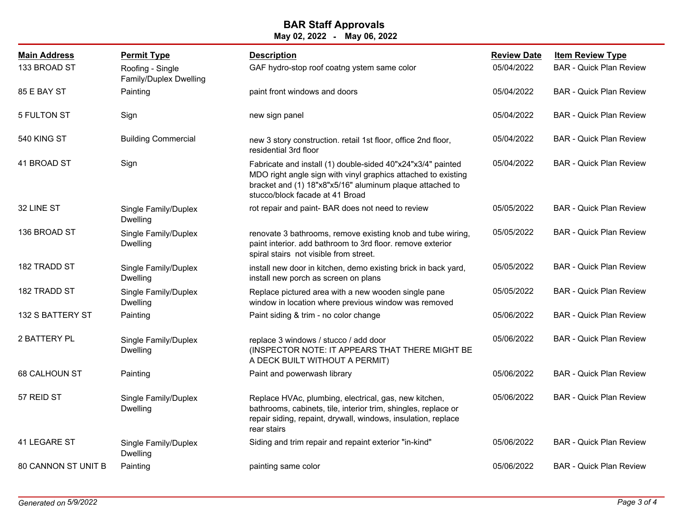## **BAR Staff Approvals**

| May 02, 2022 |  | May 06, 2022 |  |  |
|--------------|--|--------------|--|--|
|--------------|--|--------------|--|--|

| <b>Main Address</b>        | <b>Permit Type</b>                         | <b>Description</b>                                                                                                                                                                                                          | <b>Review Date</b> | <b>Item Review Type</b>        |
|----------------------------|--------------------------------------------|-----------------------------------------------------------------------------------------------------------------------------------------------------------------------------------------------------------------------------|--------------------|--------------------------------|
| 133 BROAD ST               | Roofing - Single<br>Family/Duplex Dwelling | GAF hydro-stop roof coatng ystem same color                                                                                                                                                                                 | 05/04/2022         | <b>BAR - Quick Plan Review</b> |
| 85 E BAY ST                | Painting                                   | paint front windows and doors                                                                                                                                                                                               | 05/04/2022         | <b>BAR - Quick Plan Review</b> |
| 5 FULTON ST                | Sign                                       | new sign panel                                                                                                                                                                                                              | 05/04/2022         | <b>BAR - Quick Plan Review</b> |
| 540 KING ST                | <b>Building Commercial</b>                 | new 3 story construction. retail 1st floor, office 2nd floor,<br>residential 3rd floor                                                                                                                                      | 05/04/2022         | <b>BAR</b> - Quick Plan Review |
| 41 BROAD ST                | Sign                                       | Fabricate and install (1) double-sided 40"x24"x3/4" painted<br>MDO right angle sign with vinyl graphics attached to existing<br>bracket and (1) 18"x8"x5/16" aluminum plaque attached to<br>stucco/block facade at 41 Broad | 05/04/2022         | <b>BAR - Quick Plan Review</b> |
| 32 LINE ST                 | Single Family/Duplex<br><b>Dwelling</b>    | rot repair and paint- BAR does not need to review                                                                                                                                                                           | 05/05/2022         | <b>BAR - Quick Plan Review</b> |
| 136 BROAD ST               | Single Family/Duplex<br>Dwelling           | renovate 3 bathrooms, remove existing knob and tube wiring,<br>paint interior. add bathroom to 3rd floor. remove exterior<br>spiral stairs not visible from street.                                                         | 05/05/2022         | <b>BAR - Quick Plan Review</b> |
| 182 TRADD ST               | Single Family/Duplex<br><b>Dwelling</b>    | install new door in kitchen, demo existing brick in back yard,<br>install new porch as screen on plans                                                                                                                      | 05/05/2022         | <b>BAR - Quick Plan Review</b> |
| 182 TRADD ST               | Single Family/Duplex<br><b>Dwelling</b>    | Replace pictured area with a new wooden single pane<br>window in location where previous window was removed                                                                                                                 | 05/05/2022         | <b>BAR - Quick Plan Review</b> |
| 132 S BATTERY ST           | Painting                                   | Paint siding & trim - no color change                                                                                                                                                                                       | 05/06/2022         | <b>BAR - Quick Plan Review</b> |
| 2 BATTERY PL               | Single Family/Duplex<br><b>Dwelling</b>    | replace 3 windows / stucco / add door<br>(INSPECTOR NOTE: IT APPEARS THAT THERE MIGHT BE<br>A DECK BUILT WITHOUT A PERMIT)                                                                                                  | 05/06/2022         | <b>BAR - Quick Plan Review</b> |
| 68 CALHOUN ST              | Painting                                   | Paint and powerwash library                                                                                                                                                                                                 | 05/06/2022         | <b>BAR - Quick Plan Review</b> |
| 57 REID ST                 | Single Family/Duplex<br>Dwelling           | Replace HVAc, plumbing, electrical, gas, new kitchen,<br>bathrooms, cabinets, tile, interior trim, shingles, replace or<br>repair siding, repaint, drywall, windows, insulation, replace<br>rear stairs                     | 05/06/2022         | <b>BAR - Quick Plan Review</b> |
| 41 LEGARE ST               | Single Family/Duplex<br><b>Dwelling</b>    | Siding and trim repair and repaint exterior "in-kind"                                                                                                                                                                       | 05/06/2022         | <b>BAR - Quick Plan Review</b> |
| <b>80 CANNON ST UNIT B</b> | Painting                                   | painting same color                                                                                                                                                                                                         | 05/06/2022         | <b>BAR</b> - Quick Plan Review |